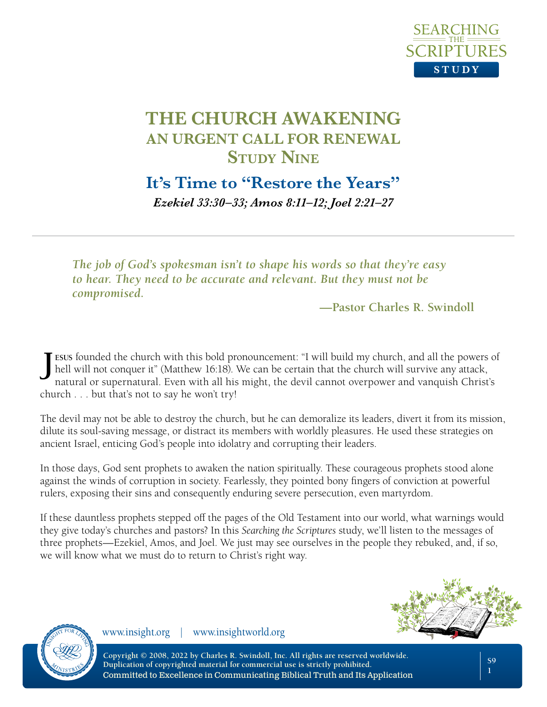

**It's Time to "Restore the Years"**

*Ezekiel 33:30–33; Amos 8:11–12; Joel 2:21–27*

*The job of God's spokesman isn't to shape his words so that they're easy to hear. They need to be accurate and relevant. But they must not be compromised.*

**—Pastor Charles R. Swindoll**

**J esus** founded the church with this bold pronouncement: "I will build my church, and all the powers of hell will not conquer it" (Matthew 16:18). We can be certain that the church will survive any attack, natural or supernatural. Even with all his might, the devil cannot overpower and vanquish Christ's church . . . but that's not to say he won't try!

The devil may not be able to destroy the church, but he can demoralize its leaders, divert it from its mission, dilute its soul-saving message, or distract its members with worldly pleasures. He used these strategies on ancient Israel, enticing God's people into idolatry and corrupting their leaders.

In those days, God sent prophets to awaken the nation spiritually. These courageous prophets stood alone against the winds of corruption in society. Fearlessly, they pointed bony fingers of conviction at powerful rulers, exposing their sins and consequently enduring severe persecution, even martyrdom.

If these dauntless prophets stepped off the pages of the Old Testament into our world, what warnings would they give today's churches and pastors? In this *Searching the Scriptures* study, we'll listen to the messages of three prophets—Ezekiel, Amos, and Joel. We just may see ourselves in the people they rebuked, and, if so, we will know what we must do to return to Christ's right way.



**S9 1**



www.insight.org | www.insightworld.org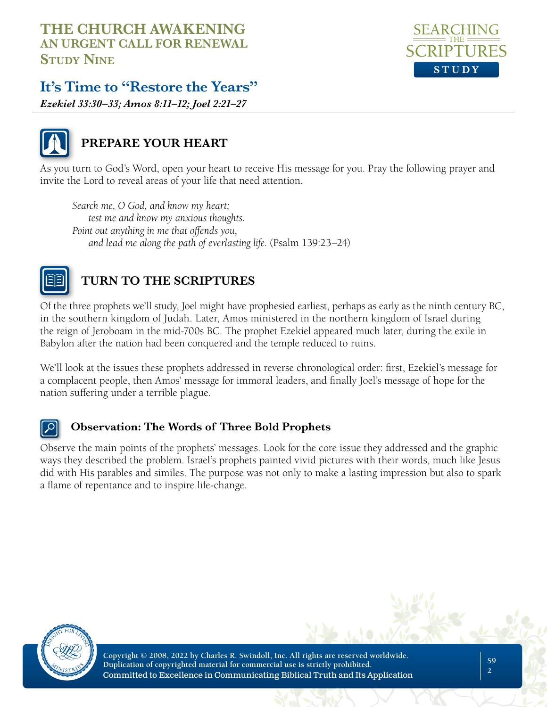

# **It's Time to "Restore the Years"**

*Ezekiel 33:30–33; Amos 8:11–12; Joel 2:21–27*



## **PREPARE YOUR HEART**

As you turn to God's Word, open your heart to receive His message for you. Pray the following prayer and invite the Lord to reveal areas of your life that need attention.

*Search me, O God, and know my heart; test me and know my anxious thoughts. Point out anything in me that offends you, and lead me along the path of everlasting life.* (Psalm 139:23–24)



# **TURN TO THE SCRIPTURES**

Of the three prophets we'll study, Joel might have prophesied earliest, perhaps as early as the ninth century BC, in the southern kingdom of Judah. Later, Amos ministered in the northern kingdom of Israel during the reign of Jeroboam in the mid-700s BC. The prophet Ezekiel appeared much later, during the exile in Babylon after the nation had been conquered and the temple reduced to ruins.

We'll look at the issues these prophets addressed in reverse chronological order: first, Ezekiel's message for a complacent people, then Amos' message for immoral leaders, and finally Joel's message of hope for the nation suffering under a terrible plague.

#### **Observation: The Words of Three Bold Prophets**

Observe the main points of the prophets' messages. Look for the core issue they addressed and the graphic ways they described the problem. Israel's prophets painted vivid pictures with their words, much like Jesus did with His parables and similes. The purpose was not only to make a lasting impression but also to spark a flame of repentance and to inspire life-change.

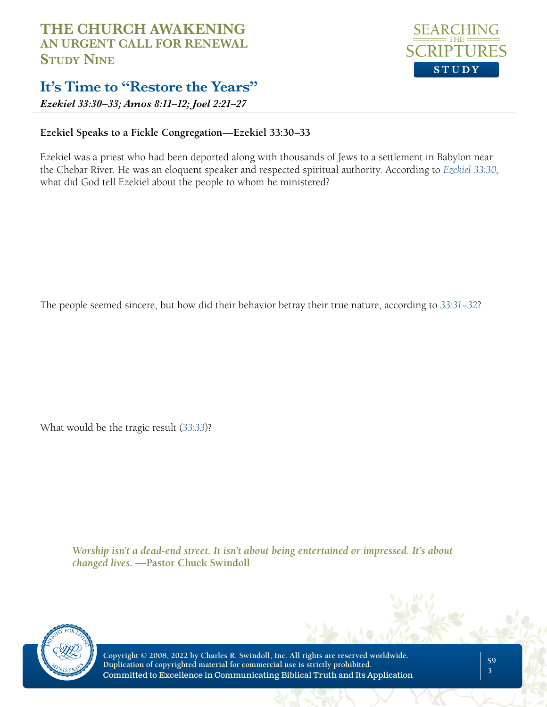# **It's Time to "Restore the Years"**

*Ezekiel 33:30–33; Amos 8:11–12; Joel 2:21–27*

#### **Ezekiel Speaks to a Fickle Congregation—Ezekiel 33:30–33**

Ezekiel was a priest who had been deported along with thousands of Jews to a settlement in Babylon near the Chebar River. He was an eloquent speaker and respected spiritual authority. According to *[Ezekiel 33:30](https://www.biblegateway.com/passage/?search=Ezekiel+33%3A30&version=NLT;NASB1995)*, what did God tell Ezekiel about the people to whom he ministered?

The people seemed sincere, but how did their behavior betray their true nature, according to *[33:31–32](https://www.biblegateway.com/passage/?search=Ezekiel+33%3A31-32&version=NLT;NASB1995)*?

What would be the tragic result (*[33:33](https://www.biblegateway.com/passage/?search=Ezekiel+33%3A33&version=NLT;NASB1995)*)?

*Worship isn't a dead-end street. It isn't about being entertained or impressed. It's about changed lives.* **—Pastor Chuck Swindoll**



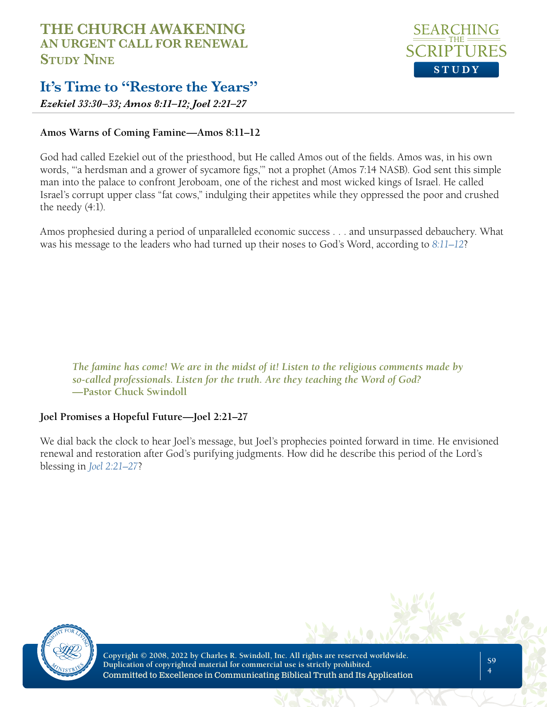

# **It's Time to "Restore the Years"**

*Ezekiel 33:30–33; Amos 8:11–12; Joel 2:21–27*

#### **Amos Warns of Coming Famine—Amos 8:11–12**

God had called Ezekiel out of the priesthood, but He called Amos out of the fields. Amos was, in his own words, "'a herdsman and a grower of sycamore figs,'" not a prophet (Amos 7:14 NASB). God sent this simple man into the palace to confront Jeroboam, one of the richest and most wicked kings of Israel. He called Israel's corrupt upper class "fat cows," indulging their appetites while they oppressed the poor and crushed the needy (4:1).

Amos prophesied during a period of unparalleled economic success . . . and unsurpassed debauchery. What was his message to the leaders who had turned up their noses to God's Word, according to *[8:11–12](https://www.biblegateway.com/passage/?search=Amos%208%3A11-12&version=NLT;NASB1995)*?

*The famine has come! We are in the midst of it! Listen to the religious comments made by so-called professionals. Listen for the truth. Are they teaching the Word of God?*  **—Pastor Chuck Swindoll** 

#### **Joel Promises a Hopeful Future—Joel 2:21–27**

We dial back the clock to hear Joel's message, but Joel's prophecies pointed forward in time. He envisioned renewal and restoration after God's purifying judgments. How did he describe this period of the Lord's blessing in *[Joel 2:21–27](https://www.biblegateway.com/passage/?search=Joel+2%3A21-27&version=NLT;NASB1995)*?

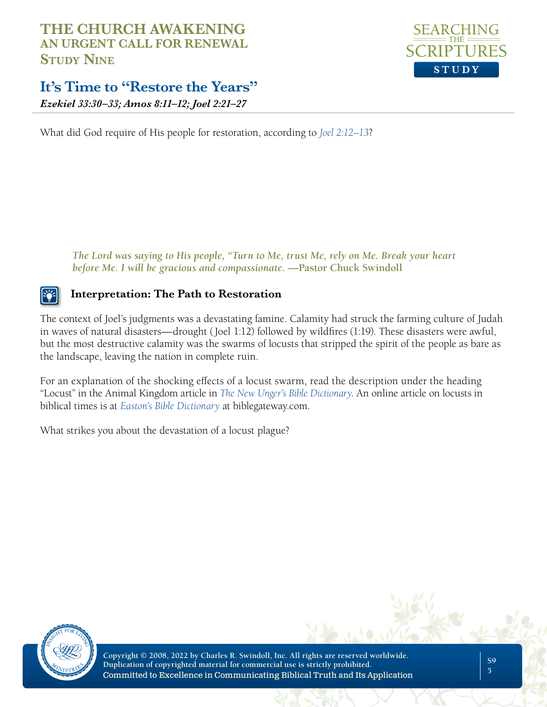

# **It's Time to "Restore the Years"**

*Ezekiel 33:30–33; Amos 8:11–12; Joel 2:21–27*

What did God require of His people for restoration, according to *[Joel 2:12–13](https://www.biblegateway.com/passage/?search=Joel+2%3A12-13&version=NLT;NASB1995)*?

*The Lord was saying to His people, "Turn to Me, trust Me, rely on Me. Break your heart before Me. I will be gracious and compassionate.* **—Pastor Chuck Swindoll**

#### **Interpretation: The Path to Restoration**

The context of Joel's judgments was a devastating famine. Calamity had struck the farming culture of Judah in waves of natural disasters—drought (Joel 1:12) followed by wildfires (1:19). These disasters were awful, but the most destructive calamity was the swarms of locusts that stripped the spirit of the people as bare as the landscape, leaving the nation in complete ruin.

For an explanation of the shocking effects of a locust swarm, read the description under the heading "Locust" in the Animal Kingdom article in *[The New Unger's Bible Dictionary](https://store.insight.org/purchase/the-new-ungers-bible-dictionary-ndashemby-merrill-f-unger-and-r-harrisonem-ubdhb)*. An online article on locusts in biblical times is at *[Easton's Bible Dictionary](https://www.biblegateway.com/resources/eastons-bible-dictionary/Locust)* at biblegateway.com.

What strikes you about the devastation of a locust plague?

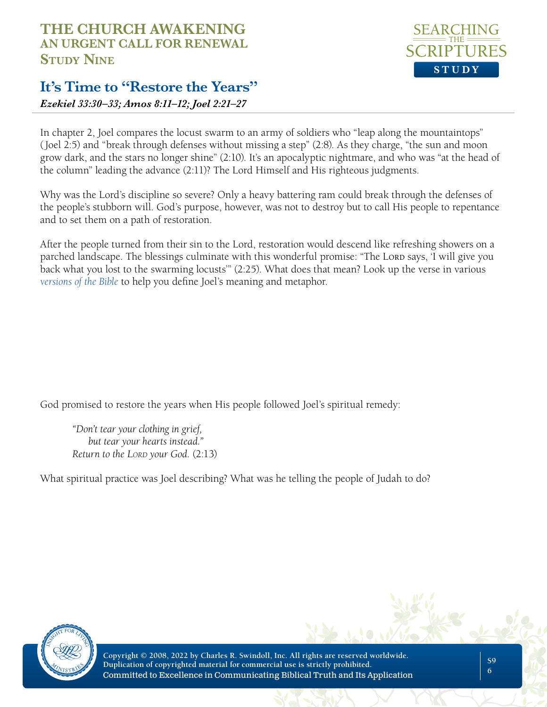# **It's Time to "Restore the Years"**

*Ezekiel 33:30–33; Amos 8:11–12; Joel 2:21–27*

In chapter 2, Joel compares the locust swarm to an army of soldiers who "leap along the mountaintops" (Joel 2:5) and "break through defenses without missing a step" (2:8). As they charge, "the sun and moon grow dark, and the stars no longer shine" (2:10). It's an apocalyptic nightmare, and who was "at the head of the column" leading the advance (2:11)? The Lord Himself and His righteous judgments.

Why was the Lord's discipline so severe? Only a heavy battering ram could break through the defenses of the people's stubborn will. God's purpose, however, was not to destroy but to call His people to repentance and to set them on a path of restoration.

After the people turned from their sin to the Lord, restoration would descend like refreshing showers on a parched landscape. The blessings culminate with this wonderful promise: "The Lord says, 'I will give you back what you lost to the swarming locusts'" (2:25). What does that mean? Look up the verse in various *[versions of the Bible](https://www.biblegateway.com/passage/?search=Joel%202%3A25&version=NLT,AMP,NIV)* to help you define Joel's meaning and metaphor.

God promised to restore the years when His people followed Joel's spiritual remedy:

*"Don't tear your clothing in grief, but tear your hearts instead." Return to the Lord your God.* (2:13)

What spiritual practice was Joel describing? What was he telling the people of Judah to do?





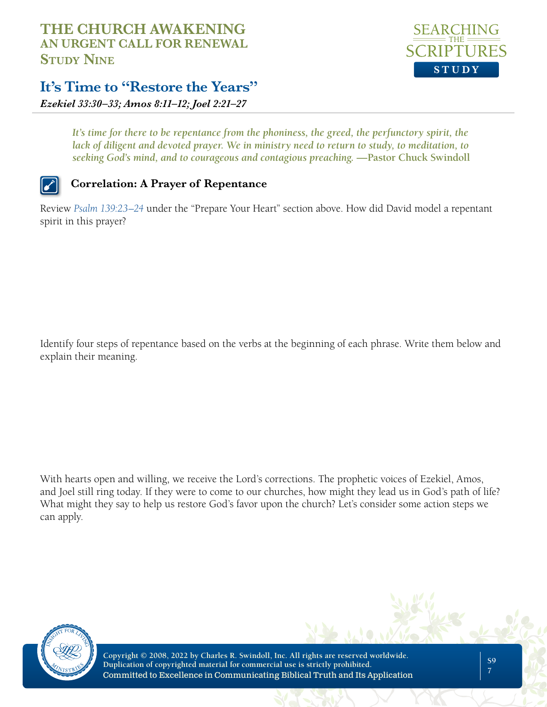

# **It's Time to "Restore the Years"**

*Ezekiel 33:30–33; Amos 8:11–12; Joel 2:21–27*

It's time for there to be repentance from the phoniness, the greed, the perfunctory spirit, the lack of diligent and devoted prayer. We in ministry need to return to study, to meditation, to *seeking God's mind, and to courageous and contagious preaching.* **—Pastor Chuck Swindoll**

#### **Correlation: A Prayer of Repentance**

Review *[Psalm 139:23–24](https://www.biblegateway.com/passage/?search=Psalm+139%3A23%E2%80%9324&version=NLT;NASB1995)* under the "Prepare Your Heart" section above. How did David model a repentant spirit in this prayer?

Identify four steps of repentance based on the verbs at the beginning of each phrase. Write them below and explain their meaning.

With hearts open and willing, we receive the Lord's corrections. The prophetic voices of Ezekiel, Amos, and Joel still ring today. If they were to come to our churches, how might they lead us in God's path of life? What might they say to help us restore God's favor upon the church? Let's consider some action steps we can apply.

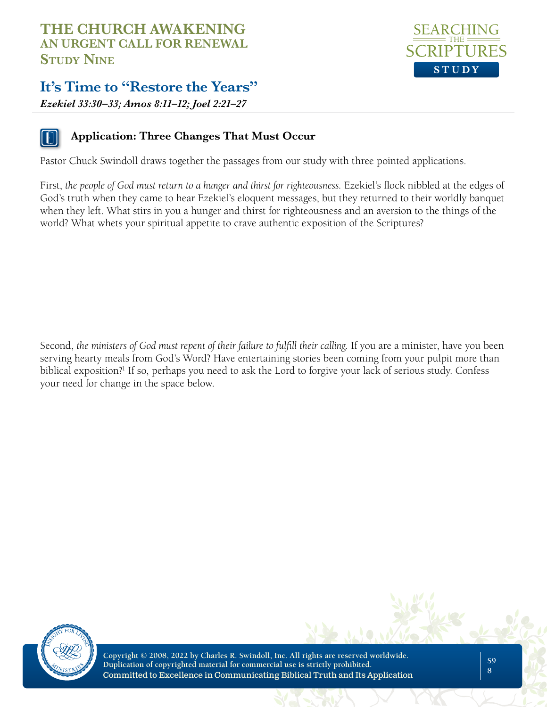# **It's Time to "Restore the Years"**

*Ezekiel 33:30–33; Amos 8:11–12; Joel 2:21–27*



#### **Application: Three Changes That Must Occur**

Pastor Chuck Swindoll draws together the passages from our study with three pointed applications.

First, *the people of God must return to a hunger and thirst for righteousness.* Ezekiel's flock nibbled at the edges of God's truth when they came to hear Ezekiel's eloquent messages, but they returned to their worldly banquet when they left. What stirs in you a hunger and thirst for righteousness and an aversion to the things of the world? What whets your spiritual appetite to crave authentic exposition of the Scriptures?

Second, *the ministers of God must repent of their failure to fulfill their calling.* If you are a minister, have you been serving hearty meals from God's Word? Have entertaining stories been coming from your pulpit more than biblical exposition?<sup>1</sup> If so, perhaps you need to ask the Lord to forgive your lack of serious study. Confess your need for change in the space below.



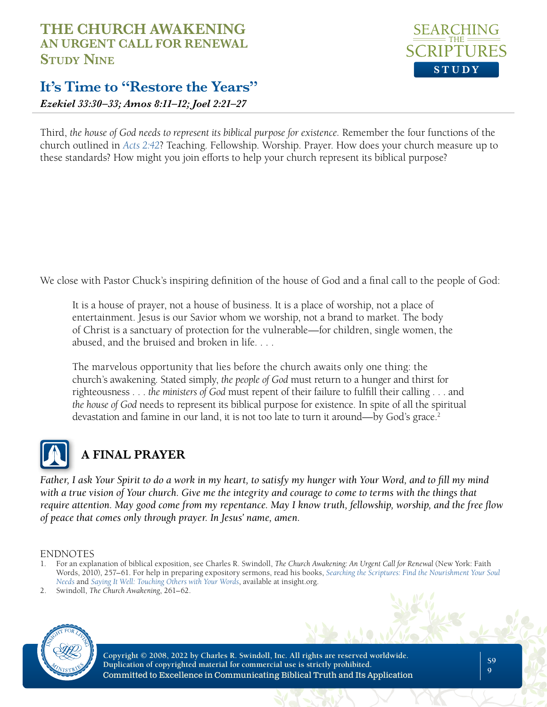

# **It's Time to "Restore the Years"**

*Ezekiel 33:30–33; Amos 8:11–12; Joel 2:21–27*

Third, *the house of God needs to represent its biblical purpose for existence.* Remember the four functions of the church outlined in *[Acts 2:42](https://www.biblegateway.com/passage/?search=Acts+2%3A42&version=NLT)*? Teaching. Fellowship. Worship. Prayer. How does your church measure up to these standards? How might you join efforts to help your church represent its biblical purpose?

We close with Pastor Chuck's inspiring definition of the house of God and a final call to the people of God:

It is a house of prayer, not a house of business. It is a place of worship, not a place of entertainment. Jesus is our Savior whom we worship, not a brand to market. The body of Christ is a sanctuary of protection for the vulnerable—for children, single women, the abused, and the bruised and broken in life. . . .

The marvelous opportunity that lies before the church awaits only one thing: the church's awakening. Stated simply, *the people of God* must return to a hunger and thirst for righteousness . . . *the ministers of God* must repent of their failure to fulfill their calling . . . and *the house of God* needs to represent its biblical purpose for existence. In spite of all the spiritual devastation and famine in our land, it is not too late to turn it around—by God's grace.<sup>2</sup>



# **A FINAL PRAYER**

*Father, I ask Your Spirit to do a work in my heart, to satisfy my hunger with Your Word, and to fill my mind with a true vision of Your church. Give me the integrity and courage to come to terms with the things that require attention. May good come from my repentance. May I know truth, fellowship, worship, and the free flow of peace that comes only through prayer. In Jesus' name, amen.*

#### ENDNOTES

- 1. For an explanation of biblical exposition, see Charles R. Swindoll, *The Church Awakening: An Urgent Call for Renewal* (New York: Faith Words, 2010), 257–61. For help in preparing expository sermons, read his books, *[Searching the Scriptures: Find the Nourishment Your Soul](https://store.insight.org/purchase/searching-the-scriptures-find-the-nourishment-your-soul-needs-emby-charles-r-swindollem-stssc)  [Needs](https://store.insight.org/purchase/searching-the-scriptures-find-the-nourishment-your-soul-needs-emby-charles-r-swindollem-stssc)* and *[Saying It Well: Touching Others with Your Words](https://store.insight.org/purchase/saying-it-well-touching-others-with-your-words-emby-charles-r-swindollem-siwab)*, available at insight.org.
- 2. Swindoll, *The Church Awakening*, 261–62.